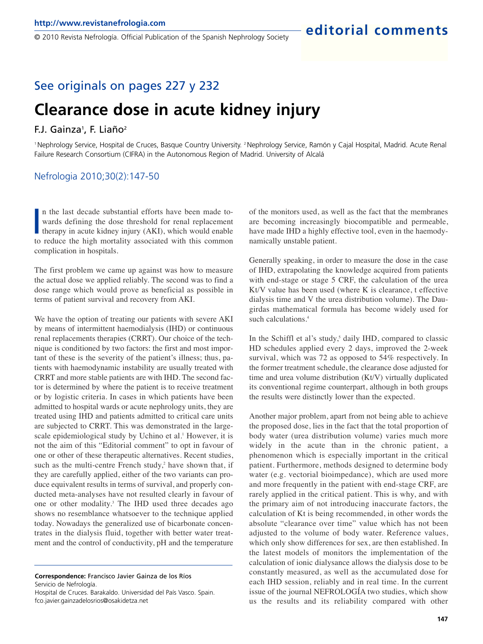© 2010 Revista Nefrología. Official Publication of the Spanish Nephrology Society

### See originals on pages 227 y 232

# **Clearance dose in acute kidney injury**

#### F.J. Gainza<sup>1</sup>, F. Liaño<sup>2</sup>

<sup>1</sup>Nephrology Service, Hospital de Cruces, Basque Country University. 2 Nephrology Service, Ramón y Cajal Hospital, Madrid. Acute Renal Failure Research Consortium (CIFRA) in the Autonomous Region of Madrid. University of Alcalá

#### Nefrologia 2010;30(2):147-50

In the last decade substantial efforts have been made towards defining the dose threshold for renal replacement therapy in acute kidney injury (AKI), which would enable to reduce the high mortality associated with this com n the last decade substantial efforts have been made towards defining the dose threshold for renal replacement therapy in acute kidney injury (AKI), which would enable complication in hospitals.

The first problem we came up against was how to measure the actual dose we applied reliably. The second was to find a dose range which would prove as beneficial as possible in terms of patient survival and recovery from AKI.

We have the option of treating our patients with severe AKI by means of intermittent haemodialysis (IHD) or continuous renal replacements therapies (CRRT). Our choice of the technique is conditioned by two factors: the first and most important of these is the severity of the patient's illness; thus, patients with haemodynamic instability are usually treated with CRRT and more stable patients are with IHD. The second factor is determined by where the patient is to receive treatment or by logistic criteria. In cases in which patients have been admitted to hospital wards or acute nephrology units, they are treated using IHD and patients admitted to critical care units are subjected to CRRT. This was demonstrated in the largescale epidemiological study by Uchino et al.<sup>1</sup> However, it is not the aim of this "Editorial comment" to opt in favour of one or other of these therapeutic alternatives. Recent studies, such as the multi-centre French study, $2$  have shown that, if they are carefully applied, either of the two variants can produce equivalent results in terms of survival, and properly conducted meta-analyses have not resulted clearly in favour of one or other modality.<sup>3</sup> The IHD used three decades ago shows no resemblance whatsoever to the technique applied today. Nowadays the generalized use of bicarbonate concentrates in the dialysis fluid, together with better water treatment and the control of conductivity, pH and the temperature

**Correspondence:** Francisco Javier Gainza de los Ríos Servicio de Nefrología.

of the monitors used, as well as the fact that the membranes are becoming increasingly biocompatible and permeable, have made IHD a highly effective tool, even in the haemodynamically unstable patient.

Generally speaking, in order to measure the dose in the case of IHD, extrapolating the knowledge acquired from patients with end-stage or stage 5 CRF, the calculation of the urea Kt/V value has been used (where K is clearance, t effective dialysis time and V the urea distribution volume). The Daugirdas mathematical formula has become widely used for such calculations.<sup>4</sup>

In the Schiffl et al's study,<sup>5</sup> daily IHD, compared to classic HD schedules applied every 2 days, improved the 2-week survival, which was 72 as opposed to 54% respectively. In the former treatment schedule, the clearance dose adjusted for time and urea volume distribution (Kt/V) virtually duplicated its conventional regime counterpart, although in both groups the results were distinctly lower than the expected.

Another major problem, apart from not being able to achieve the proposed dose, lies in the fact that the total proportion of body water (urea distribution volume) varies much more widely in the acute than in the chronic patient, a phenomenon which is especially important in the critical patient. Furthermore, methods designed to determine body water (e.g. vectorial bioimpedance), which are used more and more frequently in the patient with end-stage CRF, are rarely applied in the critical patient. This is why, and with the primary aim of not introducing inaccurate factors, the calculation of Kt is being recommended, in other words the absolute "clearance over time" value which has not been adjusted to the volume of body water. Reference values, which only show differences for sex, are then established. In the latest models of monitors the implementation of the calculation of ionic dialysance allows the dialysis dose to be constantly measured, as well as the accumulated dose for each IHD session, reliably and in real time. In the current issue of the journal NEFROLOGÍA two studies, which show us the results and its reliability compared with other

Hospital de Cruces. Barakaldo. Universidad del País Vasco. Spain. fco.javier.gainzadelosrios@osakidetza.net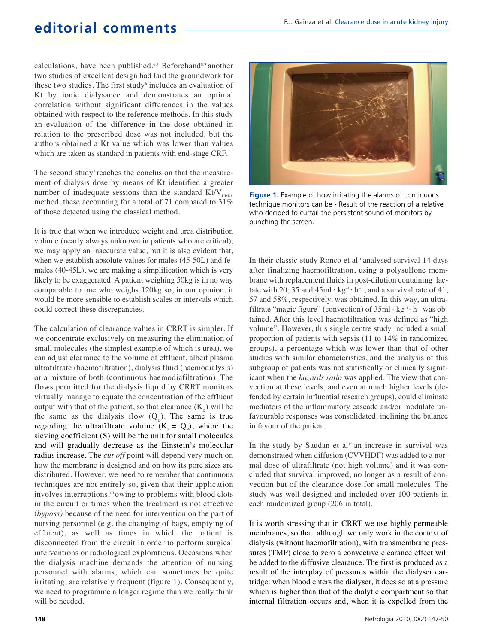## **editorial comments**

calculations, have been published.<sup>6,7</sup> Beforehand<sup>8,9</sup> another two studies of excellent design had laid the groundwork for these two studies. The first study<sup>6</sup> includes an evaluation of Kt by ionic dialysance and demonstrates an optimal correlation without significant differences in the values obtained with respect to the reference methods. In this study an evaluation of the difference in the dose obtained in relation to the prescribed dose was not included, but the authors obtained a Kt value which was lower than values which are taken as standard in patients with end-stage CRF.

The second study<sup>7</sup> reaches the conclusion that the measurement of dialysis dose by means of Kt identified a greater number of inadequate sessions than the standard  $Kt/V_{\text{UPFA}}$ method, these accounting for a total of 71 compared to 31% of those detected using the classical method.

It is true that when we introduce weight and urea distribution volume (nearly always unknown in patients who are critical), we may apply an inaccurate value, but it is also evident that, when we establish absolute values for males (45-50L) and females (40-45L), we are making a simplification which is very likely to be exaggerated. A patient weighing 50kg is in no way comparable to one who weighs 120kg so, in our opinion, it would be more sensible to establish scales or intervals which could correct these discrepancies.

The calculation of clearance values in CRRT is simpler. If we concentrate exclusively on measuring the elimination of small molecules (the simplest example of which is urea), we can adjust clearance to the volume of effluent, albeit plasma ultrafiltrate (haemofiltration), dialysis fluid (haemodialysis) or a mixture of both (continuous haemodiafiltration). The flows permitted for the dialysis liquid by CRRT monitors virtually manage to equate the concentration of the effluent output with that of the patient, so that clearance  $(K_{\text{D}})$  will be the same as the dialysis flow  $(Q_p)$ . The same is true regarding the ultrafiltrate volume  $(K_F = Q_F)$ , where the sieving coefficient (S) will be the unit for small molecules and will gradually decrease as the Einstein's molecular radius increase. The *cut off* point will depend very much on how the membrane is designed and on how its pore sizes are distributed. However, we need to remember that continuous techniques are not entirely so, given that their application involves interruptions,<sup>10</sup> owing to problems with blood clots in the circuit or times when the treatment is not effective (*bypass)* because of the need for intervention on the part of nursing personnel (e.g. the changing of bags, emptying of effluent), as well as times in which the patient is disconnected from the circuit in order to perform surgical interventions or radiological explorations. Occasions when the dialysis machine demands the attention of nursing personnel with alarms, which can sometimes be quite irritating, are relatively frequent (figure 1). Consequently, we need to programme a longer regime than we really think will be needed.



**Figure 1.** Example of how irritating the alarms of continuous technique monitors can be - Result of the reaction of a relative who decided to curtail the persistent sound of monitors by punching the screen.

In their classic study Ronco et al<sup>11</sup> analysed survival 14 days after finalizing haemofiltration, using a polysulfone membrane with replacement fluids in post-dilution containing lactate with 20, 35 and  $45ml \cdot kg^{-1} \cdot h^{-1}$ , and a survival rate of 41, 57 and 58%, respectively, was obtained. In this way, an ultrafiltrate "magic figure" (convection) of  $35ml \cdot kg^{-1} \cdot h^{-1}$  was obtained. After this level haemofiltration was defined as "high volume". However, this single centre study included a small proportion of patients with sepsis (11 to 14% in randomized groups), a percentage which was lower than that of other studies with similar characteristics, and the analysis of this subgroup of patients was not statistically or clinically significant when the *hazards ratio* was applied. The view that convection at these levels, and even at much higher levels (defended by certain influential research groups), could eliminate mediators of the inflammatory cascade and/or modulate unfavourable responses was consolidated, inclining the balance in favour of the patient.

In the study by Saudan et al<sup>12</sup> an increase in survival was demonstrated when diffusion (CVVHDF) was added to a normal dose of ultrafiltrate (not high volume) and it was concluded that survival improved, no longer as a result of convection but of the clearance dose for small molecules. The study was well designed and included over 100 patients in each randomized group (206 in total).

It is worth stressing that in CRRT we use highly permeable membranes, so that, although we only work in the context of dialysis (without haemofiltration), with transmembrane pressures (TMP) close to zero a convective clearance effect will be added to the diffusive clearance. The first is produced as a result of the interplay of pressures within the dialyser cartridge: when blood enters the dialyser, it does so at a pressure which is higher than that of the dialytic compartment so that internal filtration occurs and, when it is expelled from the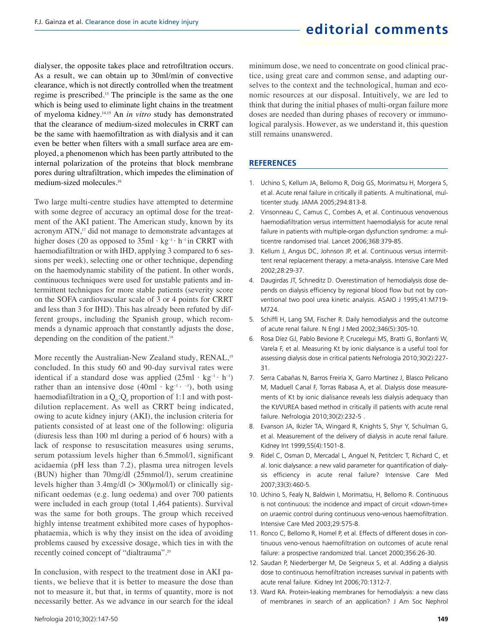dialyser, the opposite takes place and retrofiltration occurs. As a result, we can obtain up to 30ml/min of convective clearance, which is not directly controlled when the treatment regime is prescribed.<sup>13</sup> The principle is the same as the one which is being used to eliminate light chains in the treatment of myeloma kidney.14,15 An *in vitro* study has demonstrated that the clearance of medium-sized molecules in CRRT can be the same with haemofiltration as with dialysis and it can even be better when filters with a small surface area are employed, a phenomenon which has been partly attributed to the internal polarization of the proteins that block membrane pores during ultrafiltration, which impedes the elimination of medium-sized molecules.<sup>16</sup>

Two large multi-centre studies have attempted to determine with some degree of accuracy an optimal dose for the treatment of the AKI patient. The American study, known by its acronym ATN,<sup>17</sup> did not manage to demonstrate advantages at higher doses (20 as opposed to  $35ml \cdot kg^{-1} \cdot h^{-1}$  in CRRT with haemodiafiltration or with IHD, applying 3 compared to 6 sessions per week), selecting one or other technique, depending on the haemodynamic stability of the patient. In other words, continuous techniques were used for unstable patients and intermittent techniques for more stable patients (severity score on the SOFA cardiovascular scale of 3 or 4 points for CRRT and less than 3 for IHD). This has already been refuted by different groups, including the Spanish group, which recommends a dynamic approach that constantly adjusts the dose, depending on the condition of the patient.<sup>18</sup>

More recently the Australian-New Zealand study, RENAL,<sup>19</sup> concluded. In this study 60 and 90-day survival rates were identical if a standard dose was applied  $(25ml \cdot kg^{-1} \cdot h^{-1})$ rather than an intensive dose  $(40ml \cdot kg^{-1} \cdot 1)$ , both using haemodiafiltration in a  $Q_{D}$ : $Q_{F}$  proportion of 1:1 and with postdilution replacement. As well as CRRT being indicated, owing to acute kidney injury (AKI), the inclusion criteria for patients consisted of at least one of the following: oliguria (diuresis less than 100 ml during a period of 6 hours) with a lack of response to resuscitation measures using serums, serum potassium levels higher than 6.5mmol/l, significant acidaemia (pH less than 7.2), plasma urea nitrogen levels (BUN) higher than 70mg/dl (25mmol/l), serum creatinine levels higher than  $3.4 \text{mg/dl}$  ( $> 300 \mu \text{mol/l}$ ) or clinically significant oedemas (e.g. lung oedema) and over 700 patients were included in each group (total 1,464 patients). Survival was the same for both groups. The group which received highly intense treatment exhibited more cases of hypophosphataemia, which is why they insist on the idea of avoiding problems caused by excessive dosage, which ties in with the recently coined concept of "dialtrauma".<sup>20</sup>

In conclusion, with respect to the treatment dose in AKI patients, we believe that it is better to measure the dose than not to measure it, but that, in terms of quantity, more is not necessarily better. As we advance in our search for the ideal minimum dose, we need to concentrate on good clinical practice, using great care and common sense, and adapting ourselves to the context and the technological, human and economic resources at our disposal. Intuitively, we are led to think that during the initial phases of multi-organ failure more doses are needed than during phases of recovery or immunological paralysis. However, as we understand it, this question still remains unanswered.

#### **REFERENCES**

- 1. Uchino S, Kellum JA, Bellomo R, Doig GS, Morimatsu H, Morgera S, et al. Acute renal failure in critically ill patients. A multinational, multicenter study. JAMA 2005;294:813-8.
- 2. Vinsonneau C, Camus C, Combes A, et al. Continuous venovenous haemodiafiltration versus intermittent haemodialysis for acute renal failure in patients with multiple-organ dysfunction syndrome: a multicentre randomised trial. Lancet 2006;368:379-85.
- 3. Kellum J, Angus DC, Johnson JP, et al. Continuous versus intermittent renal replacement therapy: a meta-analysis. Intensive Care Med 2002;28:29-37.
- 4. Daugirdas JT, Schneditz D. Overestimation of hemodialysis dose depends on dialysis efficiency by regional blood flow but not by conventional two pool urea kinetic analysis. ASAIO J 1995;41:M719- M724.
- 5. Schiffl H, Lang SM, Fischer R. Daily hemodialysis and the outcome of acute renal failure. N Engl J Med 2002;346(5):305-10.
- 6. Rosa Díez GJ, Pablo Bevione P, Crucelegui MS, Bratti G, Bonfanti W, Varela F, et al. Measuring Kt by ionic dialysance is a useful tool for assessing dialysis dose in critical patients Nefrologia 2010;30(2):227- 31.
- 7. Serra Cabañas N, Barros Freiría X, Garro Martínez J, Blasco Pelícano M, Maduell Canal F, Torras Rabasa A, et al. Dialysis dose measurements of Kt by ionic dialisance reveals less dialysis adequacy than the Kt/VUREA based method in critically ill patients with acute renal failure. Nefrologia 2010;30(2):232-5 .
- 8. Evanson JA, Ikizler TA, Wingard R, Knights S, Shyr Y, Schulman G, et al. Measurement of the delivery of dialysis in acute renal failure. Kidney Int 1999;55(4):1501-8.
- 9. Ridel C, Osman D, Mercadal L, Anguel N, Petitclerc T, Richard C, et al. Ionic dialysance: a new valid parameter for quantification of dialysis efficiency in acute renal failure? Intensive Care Med 2007;33(3):460-5.
- 10. Uchino S, Fealy N, Baldwin I, Morimatsu, H, Bellomo R. Continuous is not continuous: the incidence and impact of circuit «down-time» on uraemic control during continuous veno-venous haemofiltration. Intensive Care Med 2003;29:575-8.
- 11. Ronco C, Bellomo R, Homel P, et al. Effects of different doses in continuous veno-venous haemofiltration on outcomes of acute renal failure: a prospective randomized trial. Lancet 2000;356:26-30.
- 12. Saudan P, Niederberger M, De Seigneux S, et al. Adding a dialysis dose to continuous hemofiltration increases survival in patients with acute renal failure. Kidney Int 2006;70:1312-7.
- 13. Ward RA. Protein-leaking membranes for hemodialysis: a new class of membranes in search of an application? J Am Soc Nephrol